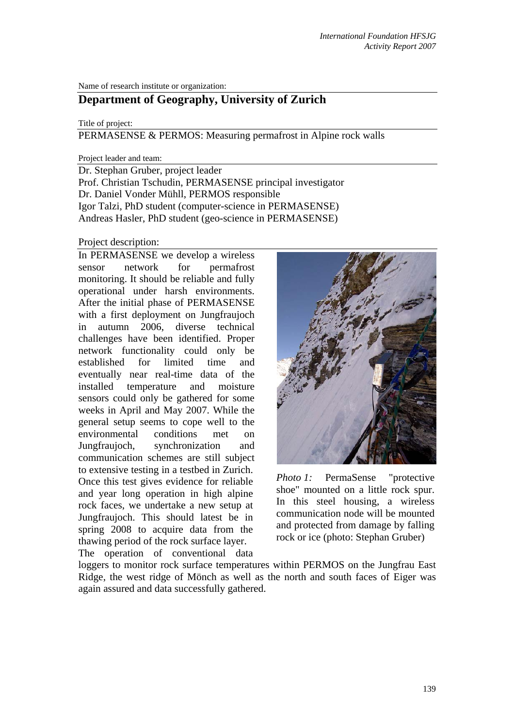Name of research institute or organization:

# **Department of Geography, University of Zurich**

Title of project:

PERMASENSE & PERMOS: Measuring permafrost in Alpine rock walls

Project leader and team:

Dr. Stephan Gruber, project leader Prof. Christian Tschudin, PERMASENSE principal investigator Dr. Daniel Vonder Mühll, PERMOS responsible Igor Talzi, PhD student (computer-science in PERMASENSE) Andreas Hasler, PhD student (geo-science in PERMASENSE)

## Project description:

In PERMASENSE we develop a wireless sensor network for permafrost monitoring. It should be reliable and fully operational under harsh environments. After the initial phase of PERMASENSE with a first deployment on Jungfraujoch in autumn 2006, diverse technical challenges have been identified. Proper network functionality could only be established for limited time and eventually near real-time data of the installed temperature and moisture sensors could only be gathered for some weeks in April and May 2007. While the general setup seems to cope well to the environmental conditions met on Jungfraujoch, synchronization and communication schemes are still subject to extensive testing in a testbed in Zurich. Once this test gives evidence for reliable and year long operation in high alpine rock faces, we undertake a new setup at Jungfraujoch. This should latest be in spring 2008 to acquire data from the thawing period of the rock surface layer. The operation of conventional data



*Photo 1:* PermaSense "protective" shoe" mounted on a little rock spur. In this steel housing, a wireless communication node will be mounted and protected from damage by falling rock or ice (photo: Stephan Gruber)

loggers to monitor rock surface temperatures within PERMOS on the Jungfrau East Ridge, the west ridge of Mönch as well as the north and south faces of Eiger was again assured and data successfully gathered.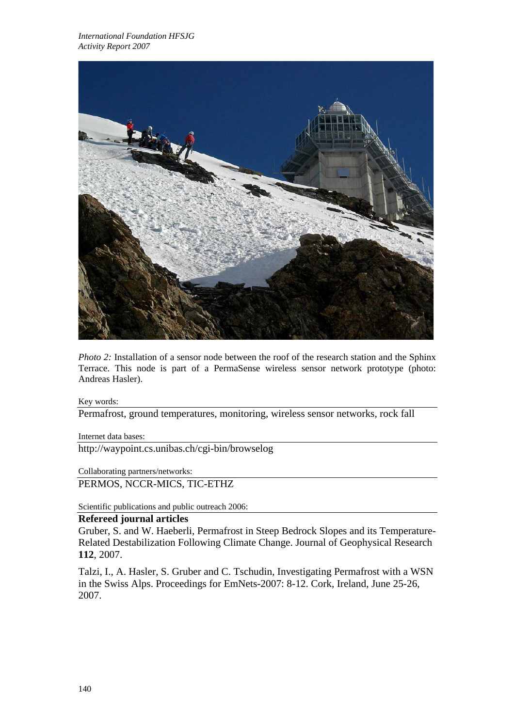

*Photo 2:* Installation of a sensor node between the roof of the research station and the Sphinx Terrace. This node is part of a PermaSense wireless sensor network prototype (photo: Andreas Hasler).

#### Key words:

Permafrost, ground temperatures, monitoring, wireless sensor networks, rock fall

Internet data bases:

http://waypoint.cs.unibas.ch/cgi-bin/browselog

Collaborating partners/networks:

PERMOS, NCCR-MICS, TIC-ETHZ

Scientific publications and public outreach 2006:

## **Refereed journal articles**

Gruber, S. and W. Haeberli, Permafrost in Steep Bedrock Slopes and its Temperature-Related Destabilization Following Climate Change. Journal of Geophysical Research **112**, 2007.

Talzi, I., A. Hasler, S. Gruber and C. Tschudin, Investigating Permafrost with a WSN in the Swiss Alps. Proceedings for EmNets-2007: 8-12. Cork, Ireland, June 25-26, 2007.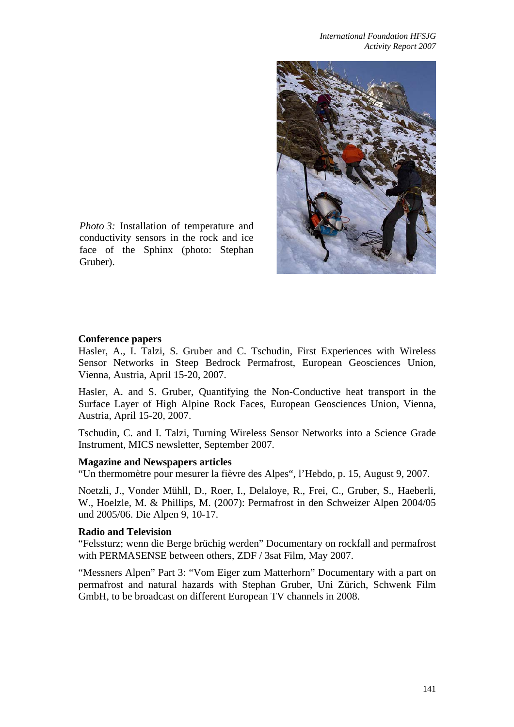*International Foundation HFSJG Activity Report 2007*



*Photo 3:* Installation of temperature and conductivity sensors in the rock and ice face of the Sphinx (photo: Stephan Gruber).

## **Conference papers**

Hasler, A., I. Talzi, S. Gruber and C. Tschudin, First Experiences with Wireless Sensor Networks in Steep Bedrock Permafrost, European Geosciences Union, Vienna, Austria, April 15-20, 2007.

Hasler, A. and S. Gruber, Quantifying the Non-Conductive heat transport in the Surface Layer of High Alpine Rock Faces, European Geosciences Union, Vienna, Austria, April 15-20, 2007.

Tschudin, C. and I. Talzi, Turning Wireless Sensor Networks into a Science Grade Instrument, MICS newsletter, September 2007.

## **Magazine and Newspapers articles**

"Un thermomètre pour mesurer la fièvre des Alpes", l'Hebdo, p. 15, August 9, 2007.

Noetzli, J., Vonder Mühll, D., Roer, I., Delaloye, R., Frei, C., Gruber, S., Haeberli, W., Hoelzle, M. & Phillips, M. (2007): Permafrost in den Schweizer Alpen 2004/05 und 2005/06. Die Alpen 9, 10-17.

#### **Radio and Television**

"Felssturz; wenn die Berge brüchig werden" Documentary on rockfall and permafrost with PERMASENSE between others, ZDF / 3sat Film, May 2007.

"Messners Alpen" Part 3: "Vom Eiger zum Matterhorn" Documentary with a part on permafrost and natural hazards with Stephan Gruber, Uni Zürich, Schwenk Film GmbH, to be broadcast on different European TV channels in 2008.